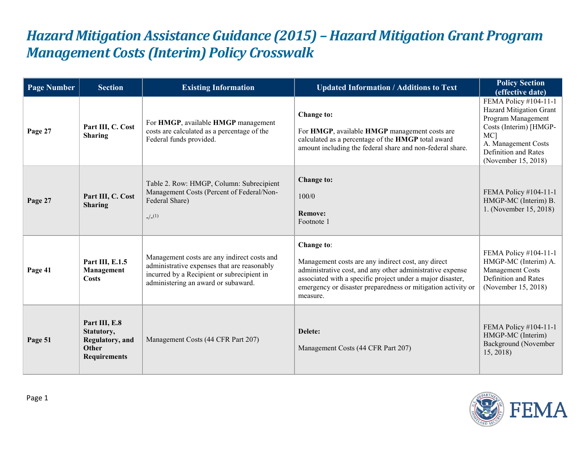## *Hazard Mitigation Assistance Guidance (2015) – Hazard Mitigation Grant Program Management Costs (Interim) Policy Crosswalk*

| <b>Page Number</b> | <b>Section</b>                                                                 | <b>Existing Information</b>                                                                                                                                                     | <b>Updated Information / Additions to Text</b>                                                                                                                                                                                                                          | <b>Policy Section</b><br>(effective date)                                                                                                                                                 |
|--------------------|--------------------------------------------------------------------------------|---------------------------------------------------------------------------------------------------------------------------------------------------------------------------------|-------------------------------------------------------------------------------------------------------------------------------------------------------------------------------------------------------------------------------------------------------------------------|-------------------------------------------------------------------------------------------------------------------------------------------------------------------------------------------|
| Page 27            | Part III, C. Cost<br><b>Sharing</b>                                            | For HMGP, available HMGP management<br>costs are calculated as a percentage of the<br>Federal funds provided.                                                                   | <b>Change to:</b><br>For HMGP, available HMGP management costs are<br>calculated as a percentage of the HMGP total award<br>amount including the federal share and non-federal share.                                                                                   | FEMA Policy #104-11-1<br>Hazard Mitigation Grant<br>Program Management<br>Costs (Interim) [HMGP-<br>MC <sub>1</sub><br>A. Management Costs<br>Definition and Rates<br>(November 15, 2018) |
| Page 27            | Part III, C. Cost<br><b>Sharing</b>                                            | Table 2. Row: HMGP, Column: Subrecipient<br>Management Costs (Percent of Federal/Non-<br>Federal Share)<br>$-/-(1)$                                                             | Change to:<br>100/0<br><b>Remove:</b><br>Footnote 1                                                                                                                                                                                                                     | FEMA Policy #104-11-1<br>HMGP-MC (Interim) B.<br>1. (November 15, 2018)                                                                                                                   |
| Page 41            | Part III, E.1.5<br>Management<br>Costs                                         | Management costs are any indirect costs and<br>administrative expenses that are reasonably<br>incurred by a Recipient or subrecipient in<br>administering an award or subaward. | Change to:<br>Management costs are any indirect cost, any direct<br>administrative cost, and any other administrative expense<br>associated with a specific project under a major disaster,<br>emergency or disaster preparedness or mitigation activity or<br>measure. | FEMA Policy #104-11-1<br>HMGP-MC (Interim) A.<br>Management Costs<br>Definition and Rates<br>(November 15, 2018)                                                                          |
| Page 51            | Part III, E.8<br>Statutory,<br>Regulatory, and<br>Other<br><b>Requirements</b> | Management Costs (44 CFR Part 207)                                                                                                                                              | Delete:<br>Management Costs (44 CFR Part 207)                                                                                                                                                                                                                           | FEMA Policy #104-11-1<br>HMGP-MC (Interim)<br>Background (November<br>15, 2018                                                                                                            |

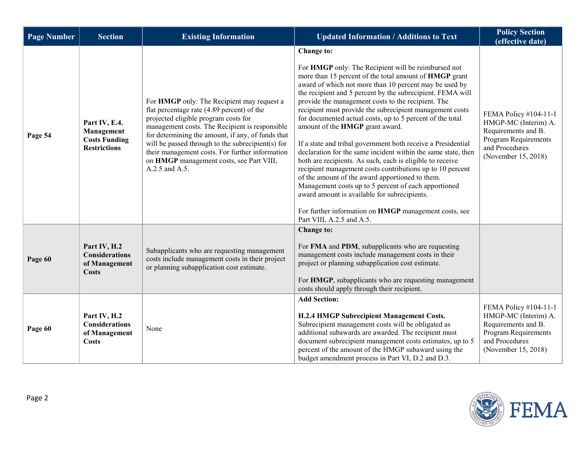| <b>Page Number</b> | <b>Section</b>                                                             | <b>Existing Information</b>                                                                                                                                                                                                                                                                                                                                                                                   | <b>Updated Information / Additions to Text</b>                                                                                                                                                                                                                                                                                                                                                                                                                                                                                                                                                                                                                                                                                                                                                                                                                                                                                                                                    | <b>Policy Section</b><br>(effective date)                                                                                             |
|--------------------|----------------------------------------------------------------------------|---------------------------------------------------------------------------------------------------------------------------------------------------------------------------------------------------------------------------------------------------------------------------------------------------------------------------------------------------------------------------------------------------------------|-----------------------------------------------------------------------------------------------------------------------------------------------------------------------------------------------------------------------------------------------------------------------------------------------------------------------------------------------------------------------------------------------------------------------------------------------------------------------------------------------------------------------------------------------------------------------------------------------------------------------------------------------------------------------------------------------------------------------------------------------------------------------------------------------------------------------------------------------------------------------------------------------------------------------------------------------------------------------------------|---------------------------------------------------------------------------------------------------------------------------------------|
| Page 54            | Part IV, E.4.<br>Management<br><b>Costs Funding</b><br><b>Restrictions</b> | For HMGP only: The Recipient may request a<br>flat percentage rate (4.89 percent) of the<br>projected eligible program costs for<br>management costs. The Recipient is responsible<br>for determining the amount, if any, of funds that<br>will be passed through to the subrecipient(s) for<br>their management costs. For further information<br>on HMGP management costs, see Part VIII,<br>A.2.5 and A.5. | Change to:<br>For HMGP only: The Recipient will be reimbursed not<br>more than 15 percent of the total amount of HMGP grant<br>award of which not more than 10 percent may be used by<br>the recipient and 5 percent by the subrecipient. FEMA will<br>provide the management costs to the recipient. The<br>recipient must provide the subrecipient management costs<br>for documented actual costs, up to 5 percent of the total<br>amount of the HMGP grant award.<br>If a state and tribal government both receive a Presidential<br>declaration for the same incident within the same state, then<br>both are recipients. As such, each is eligible to receive<br>recipient management costs contributions up to 10 percent<br>of the amount of the award apportioned to them.<br>Management costs up to 5 percent of each apportioned<br>award amount is available for subrecipients.<br>For further information on HMGP management costs, see<br>Part VIII, A.2.5 and A.5. | FEMA Policy #104-11-1<br>HMGP-MC (Interim) A.<br>Requirements and B.<br>Program Requirements<br>and Procedures<br>(November 15, 2018) |
| Page 60            | Part IV, H.2<br><b>Considerations</b><br>of Management<br><b>Costs</b>     | Subapplicants who are requesting management<br>costs include management costs in their project<br>or planning subapplication cost estimate.                                                                                                                                                                                                                                                                   | Change to:<br>For FMA and PDM, subapplicants who are requesting<br>management costs include management costs in their<br>project or planning subapplication cost estimate.<br>For HMGP, subapplicants who are requesting management<br>costs should apply through their recipient.                                                                                                                                                                                                                                                                                                                                                                                                                                                                                                                                                                                                                                                                                                |                                                                                                                                       |
| Page 60            | Part IV, H.2<br><b>Considerations</b><br>of Management<br><b>Costs</b>     | None                                                                                                                                                                                                                                                                                                                                                                                                          | <b>Add Section:</b><br>H.2.4 HMGP Subrecipient Management Costs.<br>Subrecipient management costs will be obligated as<br>additional subawards are awarded. The recipient must<br>document subrecipient management costs estimates, up to 5<br>percent of the amount of the HMGP subaward using the<br>budget amendment process in Part VI, D.2 and D.3.                                                                                                                                                                                                                                                                                                                                                                                                                                                                                                                                                                                                                          | FEMA Policy #104-11-1<br>HMGP-MC (Interim) A.<br>Requirements and B.<br>Program Requirements<br>and Procedures<br>(November 15, 2018) |

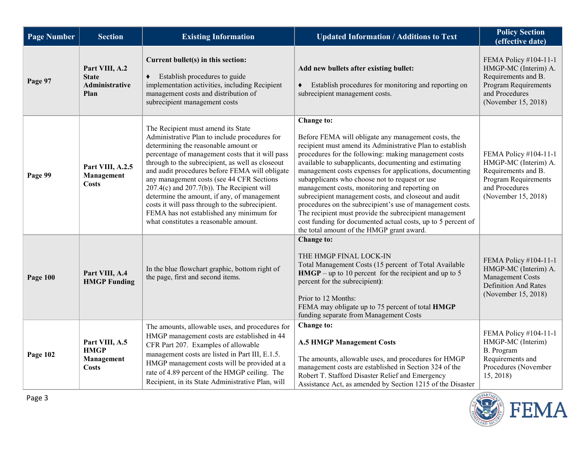| <b>Page Number</b> | <b>Section</b>                                           | <b>Existing Information</b>                                                                                                                                                                                                                                                                                                                                                                                                                                                                                                                                                  | <b>Updated Information / Additions to Text</b>                                                                                                                                                                                                                                                                                                                                                                                                                                                                                                                                                                                                                                                               | <b>Policy Section</b><br>(effective date)                                                                                             |
|--------------------|----------------------------------------------------------|------------------------------------------------------------------------------------------------------------------------------------------------------------------------------------------------------------------------------------------------------------------------------------------------------------------------------------------------------------------------------------------------------------------------------------------------------------------------------------------------------------------------------------------------------------------------------|--------------------------------------------------------------------------------------------------------------------------------------------------------------------------------------------------------------------------------------------------------------------------------------------------------------------------------------------------------------------------------------------------------------------------------------------------------------------------------------------------------------------------------------------------------------------------------------------------------------------------------------------------------------------------------------------------------------|---------------------------------------------------------------------------------------------------------------------------------------|
| Page 97            | Part VIII, A.2<br><b>State</b><br>Administrative<br>Plan | Current bullet(s) in this section:<br>Establish procedures to guide<br>implementation activities, including Recipient<br>management costs and distribution of<br>subrecipient management costs                                                                                                                                                                                                                                                                                                                                                                               | Add new bullets after existing bullet:<br>Establish procedures for monitoring and reporting on<br>٠<br>subrecipient management costs.                                                                                                                                                                                                                                                                                                                                                                                                                                                                                                                                                                        | FEMA Policy #104-11-1<br>HMGP-MC (Interim) A.<br>Requirements and B.<br>Program Requirements<br>and Procedures<br>(November 15, 2018) |
| Page 99            | Part VIII, A.2.5<br>Management<br>Costs                  | The Recipient must amend its State<br>Administrative Plan to include procedures for<br>determining the reasonable amount or<br>percentage of management costs that it will pass<br>through to the subrecipient, as well as closeout<br>and audit procedures before FEMA will obligate<br>any management costs (see 44 CFR Sections<br>$207.4(c)$ and $207.7(b)$ ). The Recipient will<br>determine the amount, if any, of management<br>costs it will pass through to the subrecipient.<br>FEMA has not established any minimum for<br>what constitutes a reasonable amount. | Change to:<br>Before FEMA will obligate any management costs, the<br>recipient must amend its Administrative Plan to establish<br>procedures for the following: making management costs<br>available to subapplicants, documenting and estimating<br>management costs expenses for applications, documenting<br>subapplicants who choose not to request or use<br>management costs, monitoring and reporting on<br>subrecipient management costs, and closeout and audit<br>procedures on the subrecipient's use of management costs.<br>The recipient must provide the subrecipient management<br>cost funding for documented actual costs, up to 5 percent of<br>the total amount of the HMGP grant award. | FEMA Policy #104-11-1<br>HMGP-MC (Interim) A.<br>Requirements and B.<br>Program Requirements<br>and Procedures<br>(November 15, 2018) |
| <b>Page 100</b>    | Part VIII, A.4<br><b>HMGP</b> Funding                    | In the blue flowchart graphic, bottom right of<br>the page, first and second items.                                                                                                                                                                                                                                                                                                                                                                                                                                                                                          | Change to:<br>THE HMGP FINAL LOCK-IN<br>Total Management Costs (15 percent of Total Available<br>$HMGP - up to 10$ percent for the recipient and up to 5<br>percent for the subrecipient):<br>Prior to 12 Months:<br>FEMA may obligate up to 75 percent of total HMGP<br>funding separate from Management Costs                                                                                                                                                                                                                                                                                                                                                                                              | FEMA Policy #104-11-1<br>HMGP-MC (Interim) A.<br>Management Costs<br><b>Definition And Rates</b><br>(November 15, 2018)               |
| Page 102           | Part VIII, A.5<br><b>HMGP</b><br>Management<br>Costs     | The amounts, allowable uses, and procedures for<br>HMGP management costs are established in 44<br>CFR Part 207. Examples of allowable<br>management costs are listed in Part III, E.1.5.<br>HMGP management costs will be provided at a<br>rate of 4.89 percent of the HMGP ceiling. The<br>Recipient, in its State Administrative Plan, will                                                                                                                                                                                                                                | Change to:<br><b>A.5 HMGP Management Costs</b><br>The amounts, allowable uses, and procedures for HMGP<br>management costs are established in Section 324 of the<br>Robert T. Stafford Disaster Relief and Emergency<br>Assistance Act, as amended by Section 1215 of the Disaster                                                                                                                                                                                                                                                                                                                                                                                                                           | FEMA Policy #104-11-1<br>HMGP-MC (Interim)<br>B. Program<br>Requirements and<br>Procedures (November<br>15, 2018)                     |

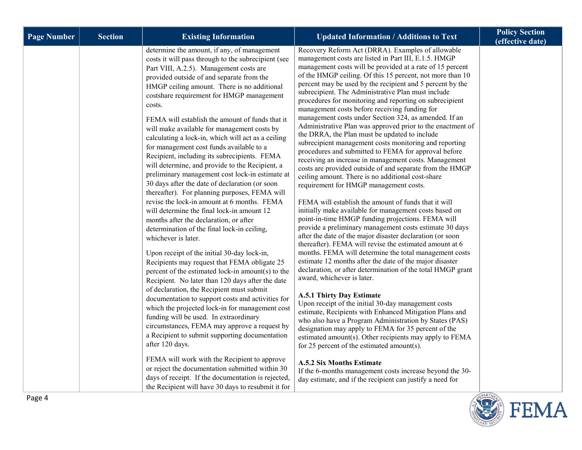| <b>Page Number</b> | <b>Section</b> | <b>Existing Information</b>                                                                                                                                                                                                                                                                                                                                                                                                                                                                                                                                                                                                                                                                                                                                                                                                                                                                                                                                                                                                                                                                                                                                                                                                                                                                                                                                                                                                                                                                                                                                                                                                                                                                                           | <b>Updated Information / Additions to Text</b>                                                                                                                                                                                                                                                                                                                                                                                                                                                                                                                                                                                                                                                                                                                                                                                                                                                                                                                                                                                                                                                                                                                                                                                                                                                                                                                                                                                                                                                                                                                                                                                                                                                                                                                                                                                                                                                                                                                                                                                                                                                     | <b>Policy Section</b><br>(effective date) |
|--------------------|----------------|-----------------------------------------------------------------------------------------------------------------------------------------------------------------------------------------------------------------------------------------------------------------------------------------------------------------------------------------------------------------------------------------------------------------------------------------------------------------------------------------------------------------------------------------------------------------------------------------------------------------------------------------------------------------------------------------------------------------------------------------------------------------------------------------------------------------------------------------------------------------------------------------------------------------------------------------------------------------------------------------------------------------------------------------------------------------------------------------------------------------------------------------------------------------------------------------------------------------------------------------------------------------------------------------------------------------------------------------------------------------------------------------------------------------------------------------------------------------------------------------------------------------------------------------------------------------------------------------------------------------------------------------------------------------------------------------------------------------------|----------------------------------------------------------------------------------------------------------------------------------------------------------------------------------------------------------------------------------------------------------------------------------------------------------------------------------------------------------------------------------------------------------------------------------------------------------------------------------------------------------------------------------------------------------------------------------------------------------------------------------------------------------------------------------------------------------------------------------------------------------------------------------------------------------------------------------------------------------------------------------------------------------------------------------------------------------------------------------------------------------------------------------------------------------------------------------------------------------------------------------------------------------------------------------------------------------------------------------------------------------------------------------------------------------------------------------------------------------------------------------------------------------------------------------------------------------------------------------------------------------------------------------------------------------------------------------------------------------------------------------------------------------------------------------------------------------------------------------------------------------------------------------------------------------------------------------------------------------------------------------------------------------------------------------------------------------------------------------------------------------------------------------------------------------------------------------------------------|-------------------------------------------|
|                    |                | determine the amount, if any, of management<br>costs it will pass through to the subrecipient (see<br>Part VIII, A.2.5). Management costs are<br>provided outside of and separate from the<br>HMGP ceiling amount. There is no additional<br>costshare requirement for HMGP management<br>costs.<br>FEMA will establish the amount of funds that it<br>will make available for management costs by<br>calculating a lock-in, which will act as a ceiling<br>for management cost funds available to a<br>Recipient, including its subrecipients. FEMA<br>will determine, and provide to the Recipient, a<br>preliminary management cost lock-in estimate at<br>30 days after the date of declaration (or soon<br>thereafter). For planning purposes, FEMA will<br>revise the lock-in amount at 6 months. FEMA<br>will determine the final lock-in amount 12<br>months after the declaration, or after<br>determination of the final lock-in ceiling,<br>whichever is later.<br>Upon receipt of the initial 30-day lock-in,<br>Recipients may request that FEMA obligate 25<br>percent of the estimated lock-in amount(s) to the<br>Recipient. No later than 120 days after the date<br>of declaration, the Recipient must submit<br>documentation to support costs and activities for<br>which the projected lock-in for management cost<br>funding will be used. In extraordinary<br>circumstances, FEMA may approve a request by<br>a Recipient to submit supporting documentation<br>after 120 days.<br>FEMA will work with the Recipient to approve<br>or reject the documentation submitted within 30<br>days of receipt. If the documentation is rejected,<br>the Recipient will have 30 days to resubmit it for | Recovery Reform Act (DRRA). Examples of allowable<br>management costs are listed in Part III, E.1.5. HMGP<br>management costs will be provided at a rate of 15 percent<br>of the HMGP ceiling. Of this 15 percent, not more than 10<br>percent may be used by the recipient and 5 percent by the<br>subrecipient. The Administrative Plan must include<br>procedures for monitoring and reporting on subrecipient<br>management costs before receiving funding for<br>management costs under Section 324, as amended. If an<br>Administrative Plan was approved prior to the enactment of<br>the DRRA, the Plan must be updated to include<br>subrecipient management costs monitoring and reporting<br>procedures and submitted to FEMA for approval before<br>receiving an increase in management costs. Management<br>costs are provided outside of and separate from the HMGP<br>ceiling amount. There is no additional cost-share<br>requirement for HMGP management costs.<br>FEMA will establish the amount of funds that it will<br>initially make available for management costs based on<br>point-in-time HMGP funding projections. FEMA will<br>provide a preliminary management costs estimate 30 days<br>after the date of the major disaster declaration (or soon<br>thereafter). FEMA will revise the estimated amount at 6<br>months. FEMA will determine the total management costs<br>estimate 12 months after the date of the major disaster<br>declaration, or after determination of the total HMGP grant<br>award, whichever is later.<br>A.5.1 Thirty Day Estimate<br>Upon receipt of the initial 30-day management costs<br>estimate, Recipients with Enhanced Mitigation Plans and<br>who also have a Program Administration by States (PAS)<br>designation may apply to FEMA for 35 percent of the<br>estimated amount(s). Other recipients may apply to FEMA<br>for 25 percent of the estimated amount(s).<br><b>A.5.2 Six Months Estimate</b><br>If the 6-months management costs increase beyond the 30-<br>day estimate, and if the recipient can justify a need for |                                           |

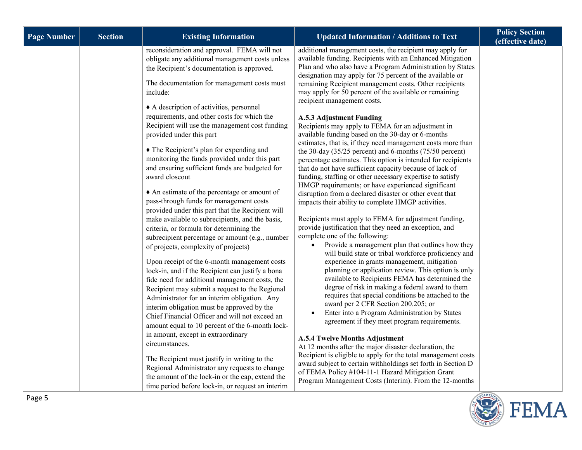| <b>Page Number</b> | <b>Section</b> | <b>Existing Information</b>                                                                                                                                                                                                                                                                                                                                                                                                                                                                                                                                                                   | <b>Updated Information / Additions to Text</b>                                                                                                                                                                                                                                                                                                                                                                                                                                                                                                                                                                                                                                                                                                                                                                                                                                                                             | <b>Policy Section</b><br>(effective date) |
|--------------------|----------------|-----------------------------------------------------------------------------------------------------------------------------------------------------------------------------------------------------------------------------------------------------------------------------------------------------------------------------------------------------------------------------------------------------------------------------------------------------------------------------------------------------------------------------------------------------------------------------------------------|----------------------------------------------------------------------------------------------------------------------------------------------------------------------------------------------------------------------------------------------------------------------------------------------------------------------------------------------------------------------------------------------------------------------------------------------------------------------------------------------------------------------------------------------------------------------------------------------------------------------------------------------------------------------------------------------------------------------------------------------------------------------------------------------------------------------------------------------------------------------------------------------------------------------------|-------------------------------------------|
|                    |                | reconsideration and approval. FEMA will not<br>obligate any additional management costs unless<br>the Recipient's documentation is approved.<br>The documentation for management costs must<br>include:<br>A description of activities, personnel<br>requirements, and other costs for which the<br>Recipient will use the management cost funding<br>provided under this part<br>• The Recipient's plan for expending and<br>monitoring the funds provided under this part<br>and ensuring sufficient funds are budgeted for<br>award closeout<br>An estimate of the percentage or amount of | additional management costs, the recipient may apply for<br>available funding. Recipients with an Enhanced Mitigation<br>Plan and who also have a Program Administration by States<br>designation may apply for 75 percent of the available or<br>remaining Recipient management costs. Other recipients<br>may apply for 50 percent of the available or remaining<br>recipient management costs.<br><b>A.5.3 Adjustment Funding</b><br>Recipients may apply to FEMA for an adjustment in<br>available funding based on the 30-day or 6-months<br>estimates, that is, if they need management costs more than<br>the 30-day $(35/25$ percent) and 6-months $(75/50$ percent)<br>percentage estimates. This option is intended for recipients<br>that do not have sufficient capacity because of lack of<br>funding, staffing or other necessary expertise to satisfy<br>HMGP requirements; or have experienced significant |                                           |
|                    |                | pass-through funds for management costs<br>provided under this part that the Recipient will<br>make available to subrecipients, and the basis,<br>criteria, or formula for determining the                                                                                                                                                                                                                                                                                                                                                                                                    | disruption from a declared disaster or other event that<br>impacts their ability to complete HMGP activities.<br>Recipients must apply to FEMA for adjustment funding,<br>provide justification that they need an exception, and                                                                                                                                                                                                                                                                                                                                                                                                                                                                                                                                                                                                                                                                                           |                                           |
|                    |                | subrecipient percentage or amount (e.g., number<br>of projects, complexity of projects)<br>Upon receipt of the 6-month management costs                                                                                                                                                                                                                                                                                                                                                                                                                                                       | complete one of the following:<br>Provide a management plan that outlines how they<br>will build state or tribal workforce proficiency and<br>experience in grants management, mitigation                                                                                                                                                                                                                                                                                                                                                                                                                                                                                                                                                                                                                                                                                                                                  |                                           |
|                    |                | lock-in, and if the Recipient can justify a bona<br>fide need for additional management costs, the<br>Recipient may submit a request to the Regional<br>Administrator for an interim obligation. Any<br>interim obligation must be approved by the<br>Chief Financial Officer and will not exceed an<br>amount equal to 10 percent of the 6-month lock-                                                                                                                                                                                                                                       | planning or application review. This option is only<br>available to Recipients FEMA has determined the<br>degree of risk in making a federal award to them<br>requires that special conditions be attached to the<br>award per 2 CFR Section 200.205; or<br>Enter into a Program Administration by States<br>agreement if they meet program requirements.                                                                                                                                                                                                                                                                                                                                                                                                                                                                                                                                                                  |                                           |
|                    |                | in amount, except in extraordinary<br>circumstances.<br>The Recipient must justify in writing to the<br>Regional Administrator any requests to change<br>the amount of the lock-in or the cap, extend the<br>time period before lock-in, or request an interim                                                                                                                                                                                                                                                                                                                                | <b>A.5.4 Twelve Months Adjustment</b><br>At 12 months after the major disaster declaration, the<br>Recipient is eligible to apply for the total management costs<br>award subject to certain withholdings set forth in Section D<br>of FEMA Policy #104-11-1 Hazard Mitigation Grant<br>Program Management Costs (Interim). From the 12-months                                                                                                                                                                                                                                                                                                                                                                                                                                                                                                                                                                             |                                           |

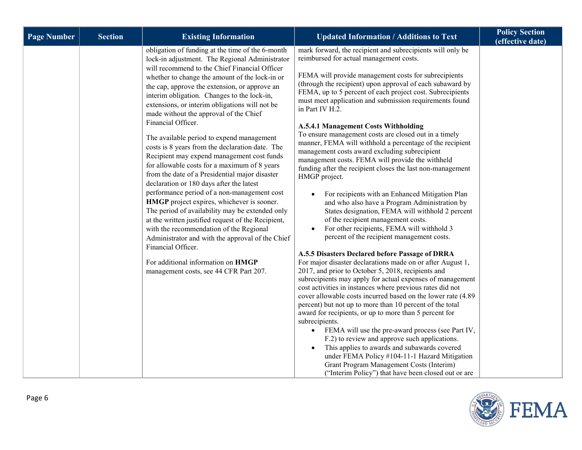| <b>Policy Section</b><br><b>Section</b><br><b>Page Number</b><br><b>Existing Information</b><br><b>Updated Information / Additions to Text</b>                                                                                                                                                                                                                                                                                                                                                                                                                                                                                                                                                                                                                                                                                                                                                                                                                                                                                                                                                                                                                                                                                                                                                                                                                                                                                                                                                                                                                                                                                                                                                                                                                                                                                                                                                                                                                                                                                                                                                                                                                                                                                                                                                                                                                                                                                                                                                                                                                                                                                                                                                                                                                                                                                                                                                                                                                                 | (effective date) |
|--------------------------------------------------------------------------------------------------------------------------------------------------------------------------------------------------------------------------------------------------------------------------------------------------------------------------------------------------------------------------------------------------------------------------------------------------------------------------------------------------------------------------------------------------------------------------------------------------------------------------------------------------------------------------------------------------------------------------------------------------------------------------------------------------------------------------------------------------------------------------------------------------------------------------------------------------------------------------------------------------------------------------------------------------------------------------------------------------------------------------------------------------------------------------------------------------------------------------------------------------------------------------------------------------------------------------------------------------------------------------------------------------------------------------------------------------------------------------------------------------------------------------------------------------------------------------------------------------------------------------------------------------------------------------------------------------------------------------------------------------------------------------------------------------------------------------------------------------------------------------------------------------------------------------------------------------------------------------------------------------------------------------------------------------------------------------------------------------------------------------------------------------------------------------------------------------------------------------------------------------------------------------------------------------------------------------------------------------------------------------------------------------------------------------------------------------------------------------------------------------------------------------------------------------------------------------------------------------------------------------------------------------------------------------------------------------------------------------------------------------------------------------------------------------------------------------------------------------------------------------------------------------------------------------------------------------------------------------------|------------------|
| obligation of funding at the time of the 6-month<br>mark forward, the recipient and subrecipients will only be<br>reimbursed for actual management costs.<br>lock-in adjustment. The Regional Administrator<br>will recommend to the Chief Financial Officer<br>FEMA will provide management costs for subrecipients<br>whether to change the amount of the lock-in or<br>(through the recipient) upon approval of each subaward by<br>the cap, approve the extension, or approve an<br>FEMA, up to 5 percent of each project cost. Subrecipients<br>interim obligation. Changes to the lock-in,<br>must meet application and submission requirements found<br>extensions, or interim obligations will not be<br>in Part IV H.2.<br>made without the approval of the Chief<br>Financial Officer.<br><b>A.5.4.1 Management Costs Withholding</b><br>To ensure management costs are closed out in a timely<br>The available period to expend management<br>manner, FEMA will withhold a percentage of the recipient<br>costs is 8 years from the declaration date. The<br>management costs award excluding subrecipient<br>Recipient may expend management cost funds<br>management costs. FEMA will provide the withheld<br>for allowable costs for a maximum of 8 years<br>funding after the recipient closes the last non-management<br>from the date of a Presidential major disaster<br>HMGP project.<br>declaration or 180 days after the latest<br>performance period of a non-management cost<br>For recipients with an Enhanced Mitigation Plan<br>HMGP project expires, whichever is sooner.<br>and who also have a Program Administration by<br>The period of availability may be extended only<br>States designation, FEMA will withhold 2 percent<br>of the recipient management costs.<br>at the written justified request of the Recipient,<br>For other recipients, FEMA will withhold 3<br>with the recommendation of the Regional<br>percent of the recipient management costs.<br>Administrator and with the approval of the Chief<br>Financial Officer.<br>A.5.5 Disasters Declared before Passage of DRRA<br>For additional information on HMGP<br>For major disaster declarations made on or after August 1,<br>2017, and prior to October 5, 2018, recipients and<br>management costs, see 44 CFR Part 207.<br>subrecipients may apply for actual expenses of management<br>cost activities in instances where previous rates did not<br>cover allowable costs incurred based on the lower rate (4.89<br>percent) but not up to more than 10 percent of the total<br>award for recipients, or up to more than 5 percent for<br>subrecipients.<br>• FEMA will use the pre-award process (see Part IV,<br>F.2) to review and approve such applications.<br>This applies to awards and subawards covered<br>under FEMA Policy #104-11-1 Hazard Mitigation<br>Grant Program Management Costs (Interim)<br>("Interim Policy") that have been closed out or are |                  |

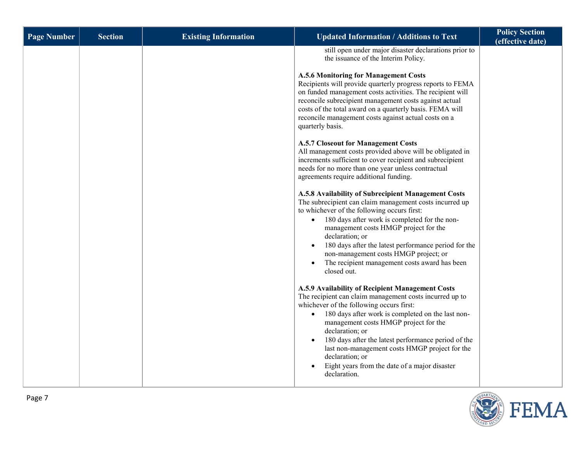| <b>Page Number</b> | <b>Section</b> | <b>Existing Information</b> | <b>Updated Information / Additions to Text</b>                                                                                                                                                                                                                                                                                                                                                                                                                                                                                                                                                                                                                                                                                                                                                                                                                                                                                                                                                                                                                                                                                                                                                                                                                                                                                                                                                                                                                                                                                                                                                                                                                                                     | <b>Policy Section</b><br>(effective date) |
|--------------------|----------------|-----------------------------|----------------------------------------------------------------------------------------------------------------------------------------------------------------------------------------------------------------------------------------------------------------------------------------------------------------------------------------------------------------------------------------------------------------------------------------------------------------------------------------------------------------------------------------------------------------------------------------------------------------------------------------------------------------------------------------------------------------------------------------------------------------------------------------------------------------------------------------------------------------------------------------------------------------------------------------------------------------------------------------------------------------------------------------------------------------------------------------------------------------------------------------------------------------------------------------------------------------------------------------------------------------------------------------------------------------------------------------------------------------------------------------------------------------------------------------------------------------------------------------------------------------------------------------------------------------------------------------------------------------------------------------------------------------------------------------------------|-------------------------------------------|
|                    |                |                             | still open under major disaster declarations prior to<br>the issuance of the Interim Policy.<br><b>A.5.6 Monitoring for Management Costs</b><br>Recipients will provide quarterly progress reports to FEMA<br>on funded management costs activities. The recipient will<br>reconcile subrecipient management costs against actual<br>costs of the total award on a quarterly basis. FEMA will<br>reconcile management costs against actual costs on a<br>quarterly basis.<br><b>A.5.7 Closeout for Management Costs</b><br>All management costs provided above will be obligated in<br>increments sufficient to cover recipient and subrecipient<br>needs for no more than one year unless contractual<br>agreements require additional funding.<br>A.5.8 Availability of Subrecipient Management Costs<br>The subrecipient can claim management costs incurred up<br>to whichever of the following occurs first:<br>180 days after work is completed for the non-<br>$\bullet$<br>management costs HMGP project for the<br>declaration; or<br>180 days after the latest performance period for the<br>non-management costs HMGP project; or<br>The recipient management costs award has been<br>closed out.<br>A.5.9 Availability of Recipient Management Costs<br>The recipient can claim management costs incurred up to<br>whichever of the following occurs first:<br>180 days after work is completed on the last non-<br>$\bullet$<br>management costs HMGP project for the<br>declaration; or<br>180 days after the latest performance period of the<br>last non-management costs HMGP project for the<br>declaration; or<br>Eight years from the date of a major disaster<br>declaration. |                                           |
|                    |                |                             |                                                                                                                                                                                                                                                                                                                                                                                                                                                                                                                                                                                                                                                                                                                                                                                                                                                                                                                                                                                                                                                                                                                                                                                                                                                                                                                                                                                                                                                                                                                                                                                                                                                                                                    |                                           |